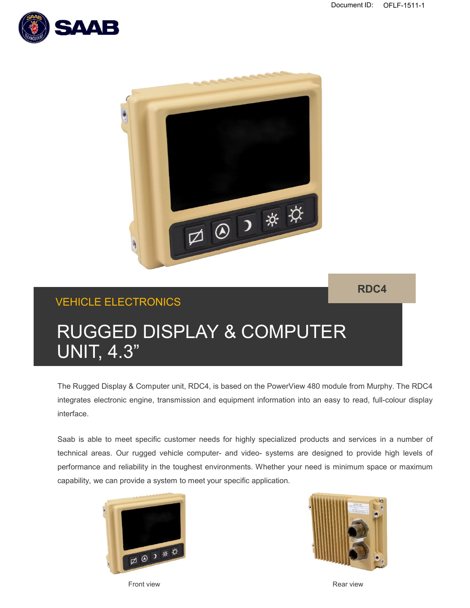



## **RDC4**

# VEHICLE ELECTRONICS

# RUGGED DISPLAY & COMPUTER UNIT, 4.3"

The Rugged Display & Computer unit, RDC4, is based on the PowerView 480 module from Murphy. The RDC4 integrates electronic engine, transmission and equipment information into an easy to read, full-colour display interface.

Saab is able to meet specific customer needs for highly specialized products and services in a number of technical areas. Our rugged vehicle computer- and video- systems are designed to provide high levels of performance and reliability in the toughest environments. Whether your need is minimum space or maximum capability, we can provide a system to meet your specific application.





**Front view Contract Contract Contract Contract Contract Contract Contract Contract Contract Contract Contract Contract Contract Contract Contract Contract Contract Contract Contract Contract Contract Contract Contract Con**